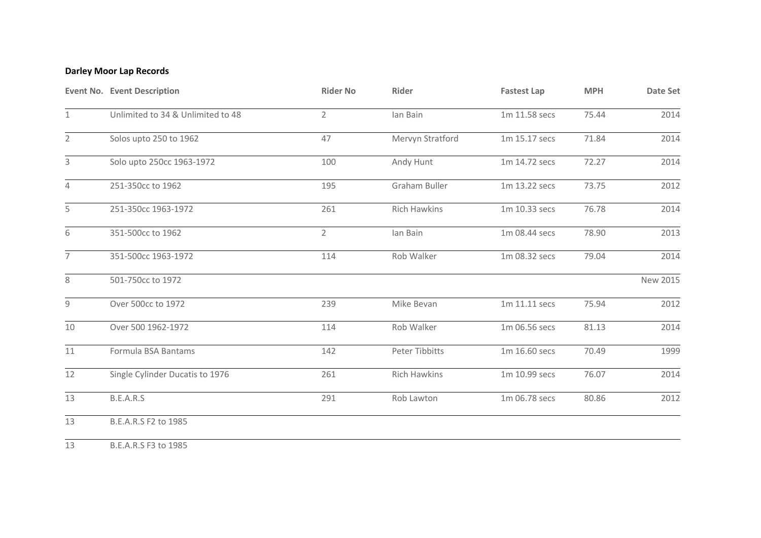## **Darley Moor Lap Records**

|                | <b>Event No. Event Description</b> | <b>Rider No</b> | Rider               | <b>Fastest Lap</b> | <b>MPH</b> | Date Set |
|----------------|------------------------------------|-----------------|---------------------|--------------------|------------|----------|
| $\mathbf{1}$   | Unlimited to 34 & Unlimited to 48  | $\overline{2}$  | lan Bain            | 1m 11.58 secs      | 75.44      | 2014     |
| $\overline{2}$ | Solos upto 250 to 1962             | 47              | Mervyn Stratford    | 1m 15.17 secs      | 71.84      | 2014     |
| 3              | Solo upto 250cc 1963-1972          | 100             | Andy Hunt           | 1m 14.72 secs      | 72.27      | 2014     |
| 4              | 251-350cc to 1962                  | 195             | Graham Buller       | 1m 13.22 secs      | 73.75      | 2012     |
| 5              | 251-350cc 1963-1972                | 261             | <b>Rich Hawkins</b> | 1m 10.33 secs      | 76.78      | 2014     |
| 6              | 351-500cc to 1962                  | $\overline{2}$  | lan Bain            | 1m 08.44 secs      | 78.90      | 2013     |
| 7 <sup>7</sup> | 351-500cc 1963-1972                | 114             | Rob Walker          | 1m 08.32 secs      | 79.04      | 2014     |
| 8              | 501-750cc to 1972                  |                 |                     |                    |            | New 2015 |
| 9              | Over 500cc to 1972                 | 239             | Mike Bevan          | 1m 11.11 secs      | 75.94      | 2012     |
| 10             | Over 500 1962-1972                 | 114             | Rob Walker          | 1m 06.56 secs      | 81.13      | 2014     |
| 11             | Formula BSA Bantams                | 142             | Peter Tibbitts      | 1m 16.60 secs      | 70.49      | 1999     |
| 12             | Single Cylinder Ducatis to 1976    | 261             | <b>Rich Hawkins</b> | 1m 10.99 secs      | 76.07      | 2014     |
| 13             | B.E.A.R.S                          | 291             | Rob Lawton          | 1m 06.78 secs      | 80.86      | 2012     |
| 13             | B.E.A.R.S F2 to 1985               |                 |                     |                    |            |          |

B.E.A.R.S F3 to 1985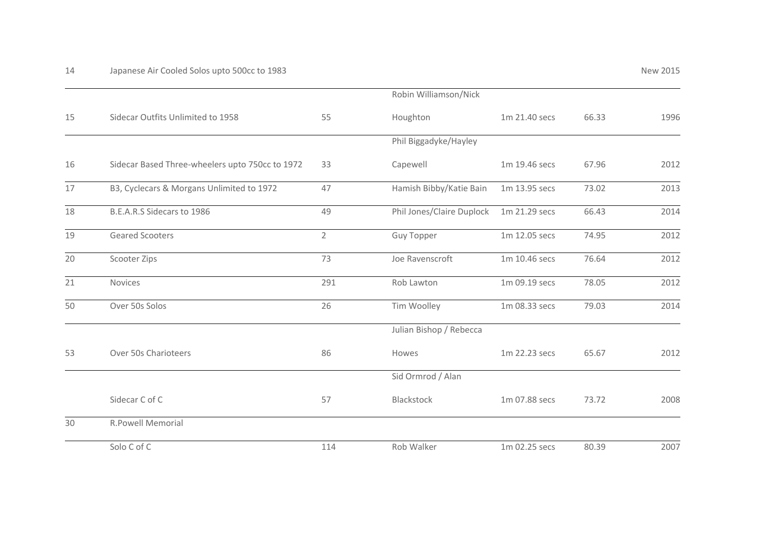|    | Sidecar Outfits Unlimited to 1958               | 55             | Robin Williamson/Nick     |               |       |      |
|----|-------------------------------------------------|----------------|---------------------------|---------------|-------|------|
| 15 |                                                 |                | Houghton                  | 1m 21.40 secs | 66.33 | 1996 |
|    |                                                 |                | Phil Biggadyke/Hayley     |               |       |      |
| 16 | Sidecar Based Three-wheelers upto 750cc to 1972 | 33             | Capewell                  | 1m 19.46 secs | 67.96 | 2012 |
| 17 | B3, Cyclecars & Morgans Unlimited to 1972       | 47             | Hamish Bibby/Katie Bain   | 1m 13.95 secs | 73.02 | 2013 |
| 18 | B.E.A.R.S Sidecars to 1986                      | 49             | Phil Jones/Claire Duplock | 1m 21.29 secs | 66.43 | 2014 |
| 19 | <b>Geared Scooters</b>                          | $\overline{2}$ | <b>Guy Topper</b>         | 1m 12.05 secs | 74.95 | 2012 |
| 20 | Scooter Zips                                    | 73             | Joe Ravenscroft           | 1m 10.46 secs | 76.64 | 2012 |
| 21 | Novices                                         | 291            | Rob Lawton                | 1m 09.19 secs | 78.05 | 2012 |
| 50 | Over 50s Solos                                  | 26             | Tim Woolley               | 1m 08.33 secs | 79.03 | 2014 |
|    |                                                 |                | Julian Bishop / Rebecca   |               |       |      |
| 53 | Over 50s Charioteers                            | 86             | Howes                     | 1m 22.23 secs | 65.67 | 2012 |
|    |                                                 |                | Sid Ormrod / Alan         |               |       |      |
|    | Sidecar C of C                                  | 57             | Blackstock                | 1m 07.88 secs | 73.72 | 2008 |
| 30 | <b>R.Powell Memorial</b>                        |                |                           |               |       |      |
|    | Solo C of C                                     | 114            | Rob Walker                | 1m 02.25 secs | 80.39 | 2007 |